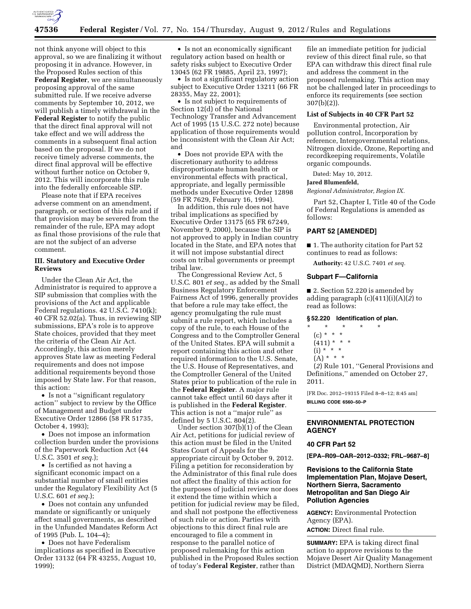

not think anyone will object to this approval, so we are finalizing it without proposing it in advance. However, in the Proposed Rules section of this **Federal Register**, we are simultaneously proposing approval of the same submitted rule. If we receive adverse comments by September 10, 2012, we will publish a timely withdrawal in the **Federal Register** to notify the public that the direct final approval will not take effect and we will address the comments in a subsequent final action based on the proposal. If we do not receive timely adverse comments, the direct final approval will be effective without further notice on October 9, 2012. This will incorporate this rule into the federally enforceable SIP.

Please note that if EPA receives adverse comment on an amendment, paragraph, or section of this rule and if that provision may be severed from the remainder of the rule, EPA may adopt as final those provisions of the rule that are not the subject of an adverse comment.

### **III. Statutory and Executive Order Reviews**

Under the Clean Air Act, the Administrator is required to approve a SIP submission that complies with the provisions of the Act and applicable Federal regulations. 42 U.S.C. 7410(k); 40 CFR 52.02(a). Thus, in reviewing SIP submissions, EPA's role is to approve State choices, provided that they meet the criteria of the Clean Air Act. Accordingly, this action merely approves State law as meeting Federal requirements and does not impose additional requirements beyond those imposed by State law. For that reason, this action:

• Is not a "significant regulatory" action'' subject to review by the Office of Management and Budget under Executive Order 12866 (58 FR 51735, October 4, 1993);

• Does not impose an information collection burden under the provisions of the Paperwork Reduction Act (44 U.S.C. 3501 *et seq.*);

• Is certified as not having a significant economic impact on a substantial number of small entities under the Regulatory Flexibility Act (5 U.S.C. 601 *et seq.*);

• Does not contain any unfunded mandate or significantly or uniquely affect small governments, as described in the Unfunded Mandates Reform Act of 1995 (Pub. L. 104–4);

• Does not have Federalism implications as specified in Executive Order 13132 (64 FR 43255, August 10, 1999);

• Is not an economically significant regulatory action based on health or safety risks subject to Executive Order 13045 (62 FR 19885, April 23, 1997);

• Is not a significant regulatory action subject to Executive Order 13211 (66 FR 28355, May 22, 2001);

• Is not subject to requirements of Section 12(d) of the National Technology Transfer and Advancement Act of 1995 (15 U.S.C. 272 note) because application of those requirements would be inconsistent with the Clean Air Act; and

• Does not provide EPA with the discretionary authority to address disproportionate human health or environmental effects with practical, appropriate, and legally permissible methods under Executive Order 12898 (59 FR 7629, February 16, 1994).

In addition, this rule does not have tribal implications as specified by Executive Order 13175 (65 FR 67249, November 9, 2000), because the SIP is not approved to apply in Indian country located in the State, and EPA notes that it will not impose substantial direct costs on tribal governments or preempt tribal law.

The Congressional Review Act, 5 U.S.C. 801 *et seq.,* as added by the Small Business Regulatory Enforcement Fairness Act of 1996, generally provides that before a rule may take effect, the agency promulgating the rule must submit a rule report, which includes a copy of the rule, to each House of the Congress and to the Comptroller General of the United States. EPA will submit a report containing this action and other required information to the U.S. Senate, the U.S. House of Representatives, and the Comptroller General of the United States prior to publication of the rule in the **Federal Register**. A major rule cannot take effect until 60 days after it is published in the **Federal Register**. This action is not a ''major rule'' as defined by 5 U.S.C. 804(2).

Under section 307(b)(1) of the Clean Air Act, petitions for judicial review of this action must be filed in the United States Court of Appeals for the appropriate circuit by October 9, 2012. Filing a petition for reconsideration by the Administrator of this final rule does not affect the finality of this action for the purposes of judicial review nor does it extend the time within which a petition for judicial review may be filed, and shall not postpone the effectiveness of such rule or action. Parties with objections to this direct final rule are encouraged to file a comment in response to the parallel notice of proposed rulemaking for this action published in the Proposed Rules section of today's **Federal Register**, rather than

file an immediate petition for judicial review of this direct final rule, so that EPA can withdraw this direct final rule and address the comment in the proposed rulemaking. This action may not be challenged later in proceedings to enforce its requirements (see section 307(b)(2)).

#### **List of Subjects in 40 CFR Part 52**

Environmental protection, Air pollution control, Incorporation by reference, Intergovernmental relations, Nitrogen dioxide, Ozone, Reporting and recordkeeping requirements, Volatile organic compounds.

Dated: May 10, 2012.

## **Jared Blumenfeld,**

*Regional Administrator, Region IX.* 

Part 52, Chapter I, Title 40 of the Code of Federal Regulations is amended as follows:

### **PART 52 [AMENDED]**

■ 1. The authority citation for Part 52 continues to read as follows:

**Authority:** 42 U.S.C. 7401 *et seq.* 

#### **Subpart F—California**

■ 2. Section 52.220 is amended by adding paragraph (c)(411)(i)(A)(*2*) to read as follows:

### **§ 52.220 Identification of plan.**

- \* \* \* \* \*
	- (c) \* \* \*
	- $(411) * * * *$
	- $(i) * * * *$
	- $(A) * * * *$

(*2*) Rule 101, ''General Provisions and Definitions,'' amended on October 27, 2011.

[FR Doc. 2012–19315 Filed 8–8–12; 8:45 am] **BILLING CODE 6560–50–P** 

# **ENVIRONMENTAL PROTECTION AGENCY**

## **40 CFR Part 52**

**[EPA–R09–OAR–2012–0332; FRL–9687–8]** 

# **Revisions to the California State Implementation Plan, Mojave Desert, Northern Sierra, Sacramento Metropolitan and San Diego Air Pollution Agencies**

**AGENCY:** Environmental Protection Agency (EPA). **ACTION:** Direct final rule.

**SUMMARY:** EPA is taking direct final action to approve revisions to the Mojave Desert Air Quality Management District (MDAQMD), Northern Sierra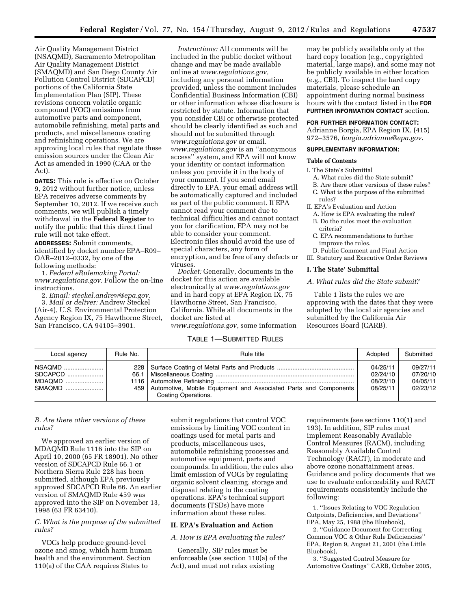Air Quality Management District (NSAQMD), Sacramento Metropolitan Air Quality Management District (SMAQMD) and San Diego County Air Pollution Control District (SDCAPCD) portions of the California State Implementation Plan (SIP). These revisions concern volatile organic compound (VOC) emissions from automotive parts and component, automobile refinishing, metal parts and products, and miscellaneous coating and refinishing operations. We are approving local rules that regulate these emission sources under the Clean Air Act as amended in 1990 (CAA or the Act).

**DATES:** This rule is effective on October 9, 2012 without further notice, unless EPA receives adverse comments by September 10, 2012. If we receive such comments, we will publish a timely withdrawal in the **Federal Register** to notify the public that this direct final rule will not take effect.

**ADDRESSES:** Submit comments, identified by docket number EPA–R09– OAR–2012–0332, by one of the following methods:

1. *Federal eRulemaking Portal: [www.regulations.gov](http://www.regulations.gov)*. Follow the on-line instructions.

2. *Email: [steckel.andrew@epa.gov.](mailto:steckel.andrew@epa.gov)*  3. *Mail or deliver:* Andrew Steckel

(Air-4), U.S. Environmental Protection Agency Region IX, 75 Hawthorne Street, San Francisco, CA 94105–3901.

*Instructions:* All comments will be included in the public docket without change and may be made available online at *[www.regulations.gov,](http://www.regulations.gov)*  including any personal information provided, unless the comment includes Confidential Business Information (CBI) or other information whose disclosure is restricted by statute. Information that you consider CBI or otherwise protected should be clearly identified as such and should not be submitted through *[www.regulations.gov](http://www.regulations.gov)* or email. *[www.regulations.gov](http://www.regulations.gov)* is an ''anonymous access'' system, and EPA will not know your identity or contact information unless you provide it in the body of your comment. If you send email directly to EPA, your email address will be automatically captured and included as part of the public comment. If EPA cannot read your comment due to technical difficulties and cannot contact you for clarification, EPA may not be able to consider your comment. Electronic files should avoid the use of special characters, any form of encryption, and be free of any defects or viruses.

*Docket:* Generally, documents in the docket for this action are available electronically at *[www.regulations.gov](http://www.regulations.gov)*  and in hard copy at EPA Region IX, 75 Hawthorne Street, San Francisco, California. While all documents in the docket are listed at *[www.regulations.gov](http://www.regulations.gov)*, some information

### TABLE 1—SUBMITTED RULES

may be publicly available only at the hard copy location (e.g., copyrighted material, large maps), and some may not be publicly available in either location (e.g., CBI). To inspect the hard copy materials, please schedule an appointment during normal business hours with the contact listed in the **FOR FURTHER INFORMATION CONTACT** section.

### **FOR FURTHER INFORMATION CONTACT:**

Adrianne Borgia, EPA Region IX, (415) 972–3576, *[borgia.adrianne@epa.gov](mailto:borgia.adrianne@epa.gov)*.

#### **SUPPLEMENTARY INFORMATION:**

#### **Table of Contents**

I. The State's Submittal

- A. What rules did the State submit?
- B. Are there other versions of these rules?
- C. What is the purpose of the submitted rules?

II. EPA's Evaluation and Action

- A. How is EPA evaluating the rules?
- B. Do the rules meet the evaluation criteria?
- C. EPA recommendations to further improve the rules.
- D. Public Comment and Final Action
- III. Statutory and Executive Order Reviews

#### **I. The State' Submittal**

# *A. What rules did the State submit?*

Table 1 lists the rules we are approving with the dates that they were adopted by the local air agencies and submitted by the California Air Resources Board (CARB).

| Local agency | Rule No. | Rule title                                                                                  | Adopted                                      | Submitted                                    |
|--------------|----------|---------------------------------------------------------------------------------------------|----------------------------------------------|----------------------------------------------|
|              |          | 459 Automotive, Mobile Equipment and Associated Parts and Components<br>Coating Operations. | 04/25/11<br>02/24/10<br>08/23/10<br>08/25/11 | 09/27/11<br>07/20/10<br>04/05/11<br>02/23/12 |

### *B. Are there other versions of these rules?*

We approved an earlier version of MDAQMD Rule 1116 into the SIP on April 10, 2000 (65 FR 18901). No other version of SDCAPCD Rule 66.1 or Northern Sierra Rule 228 has been submitted, although EPA previously approved SDCAPCD Rule 66. An earlier version of SMAQMD Rule 459 was approved into the SIP on November 13, 1998 (63 FR 63410).

# *C. What is the purpose of the submitted rules?*

VOCs help produce ground-level ozone and smog, which harm human health and the environment. Section 110(a) of the CAA requires States to

submit regulations that control VOC emissions by limiting VOC content in coatings used for metal parts and products, miscellaneous uses, automobile refinishing processes and automotive equipment, parts and compounds. In addition, the rules also limit emission of VOCs by regulating organic solvent cleaning, storage and disposal relating to the coating operations. EPA's technical support documents (TSDs) have more information about these rules.

### **II. EPA's Evaluation and Action**

*A. How is EPA evaluating the rules?* 

Generally, SIP rules must be enforceable (see section 110(a) of the Act), and must not relax existing

requirements (see sections 110(1) and 193). In addition, SIP rules must implement Reasonably Available Control Measures (RACM), including Reasonably Available Control Technology (RACT), in moderate and above ozone nonattainment areas. Guidance and policy documents that we use to evaluate enforceability and RACT requirements consistently include the following:

1. ''Issues Relating to VOC Regulation Cutpoints, Deficiencies, and Deviations'' EPA, May 25, 1988 (the Bluebook),

2. ''Guidance Document for Correcting Common VOC & Other Rule Deficiencies'' EPA, Region 9, August 21, 2001 (the Little Bluebook),

3. ''Suggested Control Measure for Automotive Coatings'' CARB, October 2005,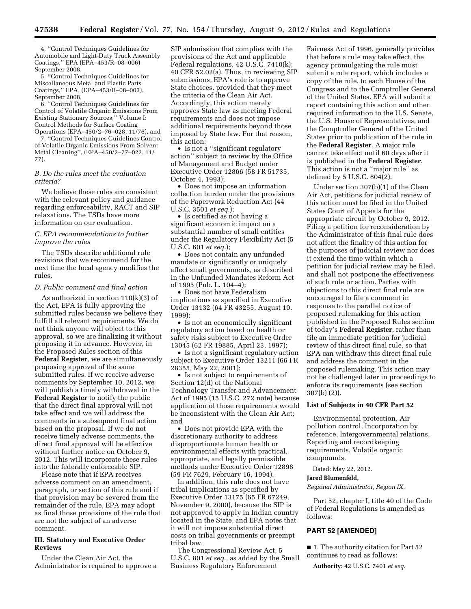4. ''Control Techniques Guidelines for Automobile and Light-Duty Truck Assembly Coatings,'' EPA (EPA–453/R–08–006) September 2008,

5. ''Control Techniques Guidelines for Miscellaneous Metal and Plastic Parts Coatings,'' EPA, (EPA–453/R–08–003), September 2008,

6. ''Control Techniques Guidelines for Control of Volatile Organic Emissions From Existing Stationary Sources,'' Volume I: Control Methods for Surface Coating Operations (EPA–450/2–76–028, 11/76), and

7. ''Control Techniques Guidelines Control of Volatile Organic Emissions From Solvent Metal Cleaning'', (EPA–450/2–77–022, 11/ 77).

### *B. Do the rules meet the evaluation criteria?*

We believe these rules are consistent with the relevant policy and guidance regarding enforceability, RACT and SIP relaxations. The TSDs have more information on our evaluation.

### *C. EPA recommendations to further improve the rules*

The TSDs describe additional rule revisions that we recommend for the next time the local agency modifies the rules.

#### *D. Public comment and final action*

As authorized in section 110(k)(3) of the Act, EPA is fully approving the submitted rules because we believe they fulfill all relevant requirements. We do not think anyone will object to this approval, so we are finalizing it without proposing it in advance. However, in the Proposed Rules section of this **Federal Register**, we are simultaneously proposing approval of the same submitted rules. If we receive adverse comments by September 10, 2012, we will publish a timely withdrawal in the **Federal Register** to notify the public that the direct final approval will not take effect and we will address the comments in a subsequent final action based on the proposal. If we do not receive timely adverse comments, the direct final approval will be effective without further notice on October 9, 2012. This will incorporate these rules into the federally enforceable SIP.

Please note that if EPA receives adverse comment on an amendment, paragraph, or section of this rule and if that provision may be severed from the remainder of the rule, EPA may adopt as final those provisions of the rule that are not the subject of an adverse comment.

# **III. Statutory and Executive Order Reviews**

Under the Clean Air Act, the Administrator is required to approve a

SIP submission that complies with the provisions of the Act and applicable Federal regulations. 42 U.S.C. 7410(k); 40 CFR 52.02(a). Thus, in reviewing SIP submissions, EPA's role is to approve State choices, provided that they meet the criteria of the Clean Air Act. Accordingly, this action merely approves State law as meeting Federal requirements and does not impose additional requirements beyond those imposed by State law. For that reason, this action:

• Is not a ''significant regulatory action'' subject to review by the Office of Management and Budget under Executive Order 12866 (58 FR 51735, October 4, 1993);

• Does not impose an information collection burden under the provisions of the Paperwork Reduction Act (44 U.S.C. 3501 *et seq.*);

• Is certified as not having a significant economic impact on a substantial number of small entities under the Regulatory Flexibility Act (5 U.S.C. 601 *et seq.*);

• Does not contain any unfunded mandate or significantly or uniquely affect small governments, as described in the Unfunded Mandates Reform Act of 1995 (Pub. L. 104–4);

• Does not have Federalism implications as specified in Executive Order 13132 (64 FR 43255, August 10, 1999);

• Is not an economically significant regulatory action based on health or safety risks subject to Executive Order 13045 (62 FR 19885, April 23, 1997);

• Is not a significant regulatory action subject to Executive Order 13211 (66 FR 28355, May 22, 2001);

• Is not subject to requirements of Section 12(d) of the National Technology Transfer and Advancement Act of 1995 (15 U.S.C. 272 note) because application of those requirements would be inconsistent with the Clean Air Act; and

• Does not provide EPA with the discretionary authority to address disproportionate human health or environmental effects with practical, appropriate, and legally permissible methods under Executive Order 12898 (59 FR 7629, February 16, 1994).

In addition, this rule does not have tribal implications as specified by Executive Order 13175 (65 FR 67249, November 9, 2000), because the SIP is not approved to apply in Indian country located in the State, and EPA notes that it will not impose substantial direct costs on tribal governments or preempt tribal law.

The Congressional Review Act, 5 U.S.C. 801 *et seq.,* as added by the Small Business Regulatory Enforcement

Fairness Act of 1996, generally provides that before a rule may take effect, the agency promulgating the rule must submit a rule report, which includes a copy of the rule, to each House of the Congress and to the Comptroller General of the United States. EPA will submit a report containing this action and other required information to the U.S. Senate, the U.S. House of Representatives, and the Comptroller General of the United States prior to publication of the rule in the **Federal Register**. A major rule cannot take effect until 60 days after it is published in the **Federal Register**. This action is not a ''major rule'' as defined by 5 U.S.C. 804(2).

Under section 307(b)(1) of the Clean Air Act, petitions for judicial review of this action must be filed in the United States Court of Appeals for the appropriate circuit by October 9, 2012. Filing a petition for reconsideration by the Administrator of this final rule does not affect the finality of this action for the purposes of judicial review nor does it extend the time within which a petition for judicial review may be filed, and shall not postpone the effectiveness of such rule or action. Parties with objections to this direct final rule are encouraged to file a comment in response to the parallel notice of proposed rulemaking for this action published in the Proposed Rules section of today's **Federal Register**, rather than file an immediate petition for judicial review of this direct final rule, so that EPA can withdraw this direct final rule and address the comment in the proposed rulemaking. This action may not be challenged later in proceedings to enforce its requirements (see section 307(b) (2)).

#### **List of Subjects in 40 CFR Part 52**

Environmental protection, Air pollution control, Incorporation by reference, Intergovernmental relations, Reporting and recordkeeping requirements, Volatile organic compounds.

Dated: May 22, 2012.

#### **Jared Blumenfeld,**

*Regional Administrator, Region IX.* 

Part 52, chapter I, title 40 of the Code of Federal Regulations is amended as follows:

### **PART 52 [AMENDED]**

■ 1. The authority citation for Part 52 continues to read as follows:

**Authority:** 42 U.S.C. 7401 *et seq.*